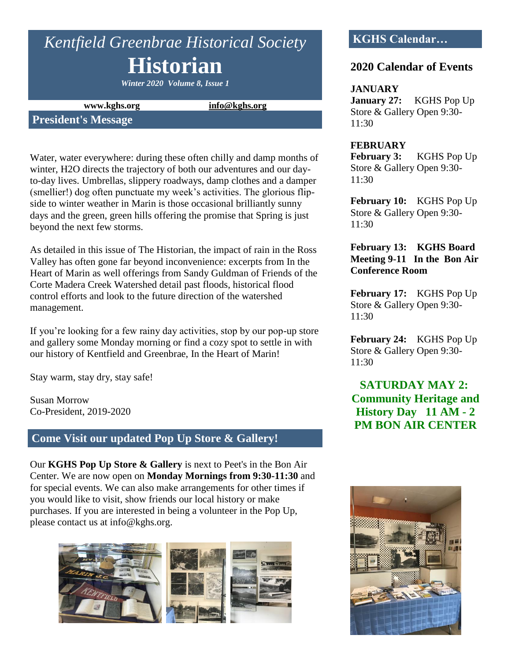# *Kentfield Greenbrae Historical Society* **Historian**

*Winter 2020 Volume 8, Issue 1*

**www.kghs.org [info@kghs.org](mailto:info@kghs.org)**

## **President's Message**

Water, water everywhere: during these often chilly and damp months of winter, H2O directs the trajectory of both our adventures and our dayto-day lives. Umbrellas, slippery roadways, damp clothes and a damper (smellier!) dog often punctuate my week's activities. The glorious flipside to winter weather in Marin is those occasional brilliantly sunny days and the green, green hills offering the promise that Spring is just beyond the next few storms.

As detailed in this issue of The Historian, the impact of rain in the Ross Valley has often gone far beyond inconvenience: excerpts from In the Heart of Marin as well offerings from Sandy Guldman of Friends of the Corte Madera Creek Watershed detail past floods, historical flood control efforts and look to the future direction of the watershed management.

If you're looking for a few rainy day activities, stop by our pop-up store and gallery some Monday morning or find a cozy spot to settle in with our history of Kentfield and Greenbrae, In the Heart of Marin!

Stay warm, stay dry, stay safe!

Susan Morrow Co-President, 2019-2020

## **Come Visit our updated Pop Up Store & Gallery!**

Our **KGHS Pop Up Store & Gallery** is next to Peet's in the Bon Air Center. We are now open on **Monday Mornings from 9:30-11:30** and for special events. We can also make arrangements for other times if you would like to visit, show friends our local history or make purchases. If you are interested in being a volunteer in the Pop Up, please contact us at info@kghs.org.



# **KGHS Calendar…**

## **2020 Calendar of Events**

#### **JANUARY**

**January 27:** KGHS Pop Up Store & Gallery Open 9:30- 11:30

#### **FEBRUARY**

**February 3:** KGHS Pop Up Store & Gallery Open 9:30- 11:30

**February 10:** KGHS Pop Up Store & Gallery Open 9:30- 11:30

#### **February 13: KGHS Board Meeting 9-11 In the Bon Air Conference Room**

**February 17:** KGHS Pop Up Store & Gallery Open 9:30- 11:30

**February 24:** KGHS Pop Up Store & Gallery Open 9:30- 11:30

**SATURDAY MAY 2: Community Heritage and History Day 11 AM - 2 PM BON AIR CENTER**

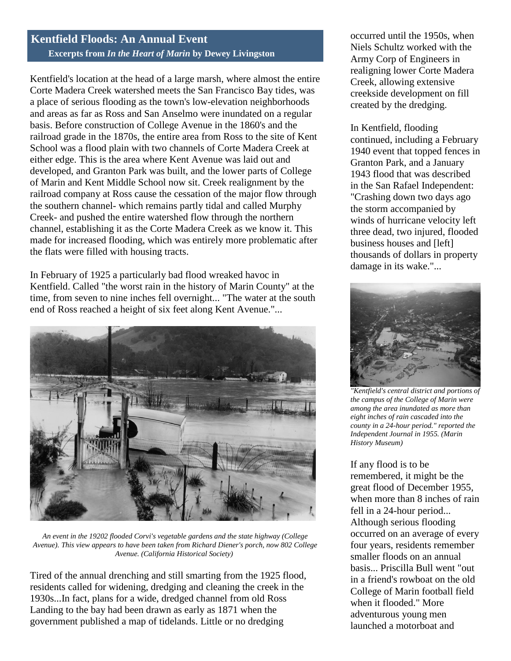## **Kentfield Floods: An Annual Event Excerpts from** *In the Heart of Marin* **by Dewey Livingston**

Kentfield's location at the head of a large marsh, where almost the entire Corte Madera Creek watershed meets the San Francisco Bay tides, was a place of serious flooding as the town's low-elevation neighborhoods and areas as far as Ross and San Anselmo were inundated on a regular basis. Before construction of College Avenue in the 1860's and the railroad grade in the 1870s, the entire area from Ross to the site of Kent School was a flood plain with two channels of Corte Madera Creek at either edge. This is the area where Kent Avenue was laid out and developed, and Granton Park was built, and the lower parts of College of Marin and Kent Middle School now sit. Creek realignment by the railroad company at Ross cause the cessation of the major flow through the southern channel- which remains partly tidal and called Murphy Creek- and pushed the entire watershed flow through the northern channel, establishing it as the Corte Madera Creek as we know it. This made for increased flooding, which was entirely more problematic after the flats were filled with housing tracts.

In February of 1925 a particularly bad flood wreaked havoc in Kentfield. Called "the worst rain in the history of Marin County" at the time, from seven to nine inches fell overnight... "The water at the south end of Ross reached a height of six feet along Kent Avenue."...



*An event in the 19202 flooded Corvi's vegetable gardens and the state highway (College Avenue). This view appears to have been taken from Richard Diener's porch, now 802 College Avenue. (California Historical Society)*

Tired of the annual drenching and still smarting from the 1925 flood, residents called for widening, dredging and cleaning the creek in the 1930s...In fact, plans for a wide, dredged channel from old Ross Landing to the bay had been drawn as early as 1871 when the government published a map of tidelands. Little or no dredging

occurred until the 1950s, when Niels Schultz worked with the Army Corp of Engineers in realigning lower Corte Madera Creek, allowing extensive creekside development on fill created by the dredging.

In Kentfield, flooding continued, including a February 1940 event that topped fences in Granton Park, and a January 1943 flood that was described in the San Rafael Independent: "Crashing down two days ago the storm accompanied by winds of hurricane velocity left three dead, two injured, flooded business houses and [left] thousands of dollars in property damage in its wake."...



*"Kentfield's central district and portions of the campus of the College of Marin were among the area inundated as more than eight inches of rain cascaded into the county in a 24-hour period." reported the Independent Journal in 1955. (Marin History Museum)* 

If any flood is to be remembered, it might be the great flood of December 1955, when more than 8 inches of rain fell in a 24-hour period... Although serious flooding occurred on an average of every four years, residents remember smaller floods on an annual basis... Priscilla Bull went "out in a friend's rowboat on the old College of Marin football field when it flooded." More adventurous young men launched a motorboat and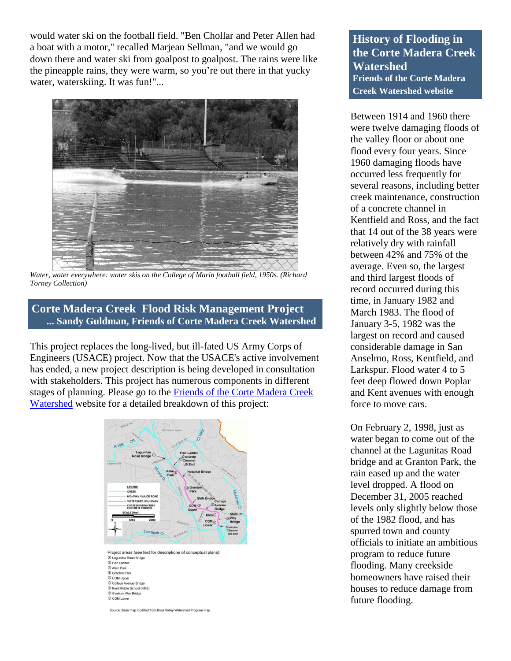would water ski on the football field. "Ben Chollar and Peter Allen had a boat with a motor," recalled Marjean Sellman, "and we would go down there and water ski from goalpost to goalpost. The rains were like the pineapple rains, they were warm, so you're out there in that yucky water, waterskiing. It was fun!"...



*Water, water everywhere: water skis on the College of Marin football field, 1950s. (Richard Torney Collection)*

## **Corte Madera Creek Flood Risk Management Project ... Sandy Guldman, Friends of Corte Madera Creek Watershed**

This project replaces the long-lived, but ill-fated US Army Corps of Engineers (USACE) project. Now that the USACE's active involvement has ended, a new project description is being developed in consultation with stakeholders. This project has numerous components in different stages of planning. Please go to the [Friends of the Corte Madera Creek](https://friendsofcortemaderacreek.org/new_site/corte-madera-creek-flood-risk-management-project/)  [Watershed](https://friendsofcortemaderacreek.org/new_site/corte-madera-creek-flood-risk-management-project/) website for a detailed breakdown of this project:



Project areas (see text for descriptions of conceptual plans): (D Lagunitas Road Bridge)<br>(2) Fish Ladder **3** Allen Park **Example**<br> **COM** Upper © College Avenue Bridge<br>
© Kent Middle School (KMS) 8 Stadium Way Bridge © COM Lower

Source: Base map modified from Ross Valley Watershed Program map

**History of Flooding in the Corte Madera Creek Watershed Friends of the Corte Madera Creek Watershed website**

Between 1914 and 1960 there were twelve damaging floods of the valley floor or about one flood every four years. Since 1960 damaging floods have occurred less frequently for several reasons, including better creek maintenance, construction of a concrete channel in Kentfield and Ross, and the fact that 14 out of the 38 years were relatively dry with rainfall between 42% and 75% of the average. Even so, the largest and third largest floods of record occurred during this time, in January 1982 and March 1983. The flood of January 3-5, 1982 was the largest on record and caused considerable damage in San Anselmo, Ross, Kentfield, and Larkspur. Flood water 4 to 5 feet deep flowed down Poplar and Kent avenues with enough force to move cars.

On February 2, 1998, just as water began to come out of the channel at the Lagunitas Road bridge and at Granton Park, the rain eased up and the water level dropped. A flood on December 31, 2005 reached levels only slightly below those of the 1982 flood, and has spurred town and county officials to initiate an ambitious program to reduce future flooding. Many creekside homeowners have raised their houses to reduce damage from future flooding.